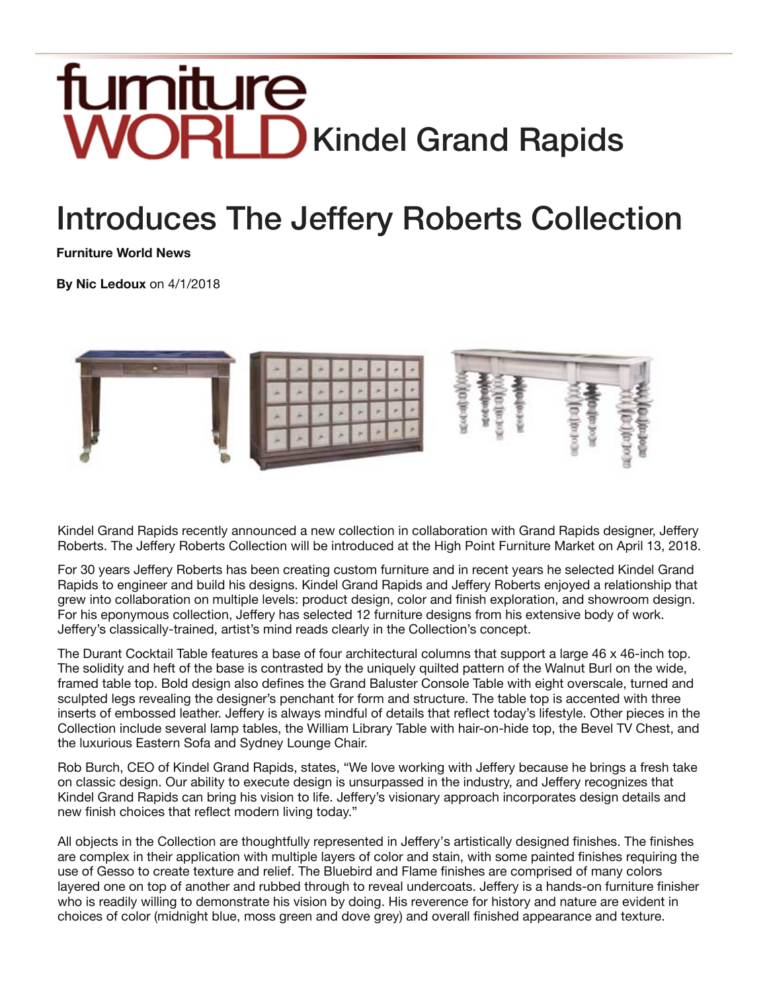## fumiture **WORLD** Kindel Grand Rapids

## Introduces The Jeffery Roberts Collection

**Furniture World News**

**By Nic Ledoux** on 4/1/2018



Kindel Grand Rapids recently announced a new collection in collaboration with Grand Rapids designer, Jeffery Roberts. The Jeffery Roberts Collection will be introduced at the High Point Furniture Market on April 13, 2018.

For 30 years Jeffery Roberts has been creating custom furniture and in recent years he selected Kindel Grand Rapids to engineer and build his designs. Kindel Grand Rapids and Jeffery Roberts enjoyed a relationship that grew into collaboration on multiple levels: product design, color and finish exploration, and showroom design. For his eponymous collection, Jeffery has selected 12 furniture designs from his extensive body of work. Jeffery's classically-trained, artist's mind reads clearly in the Collection's concept.

The Durant Cocktail Table features a base of four architectural columns that support a large 46 x 46-inch top. The solidity and heft of the base is contrasted by the uniquely quilted pattern of the Walnut Burl on the wide, framed table top. Bold design also defines the Grand Baluster Console Table with eight overscale, turned and sculpted legs revealing the designer's penchant for form and structure. The table top is accented with three inserts of embossed leather. Jeffery is always mindful of details that reflect today's lifestyle. Other pieces in the Collection include several lamp tables, the William Library Table with hair-on-hide top, the Bevel TV Chest, and the luxurious Eastern Sofa and Sydney Lounge Chair.

Rob Burch, CEO of Kindel Grand Rapids, states, "We love working with Jeffery because he brings a fresh take on classic design. Our ability to execute design is unsurpassed in the industry, and Jeffery recognizes that Kindel Grand Rapids can bring his vision to life. Jeffery's visionary approach incorporates design details and new finish choices that reflect modern living today."

All objects in the Collection are thoughtfully represented in Jeffery's artistically designed finishes. The finishes are complex in their application with multiple layers of color and stain, with some painted finishes requiring the use of Gesso to create texture and relief. The Bluebird and Flame finishes are comprised of many colors layered one on top of another and rubbed through to reveal undercoats. Jeffery is a hands-on furniture finisher who is readily willing to demonstrate his vision by doing. His reverence for history and nature are evident in choices of color (midnight blue, moss green and dove grey) and overall finished appearance and texture.